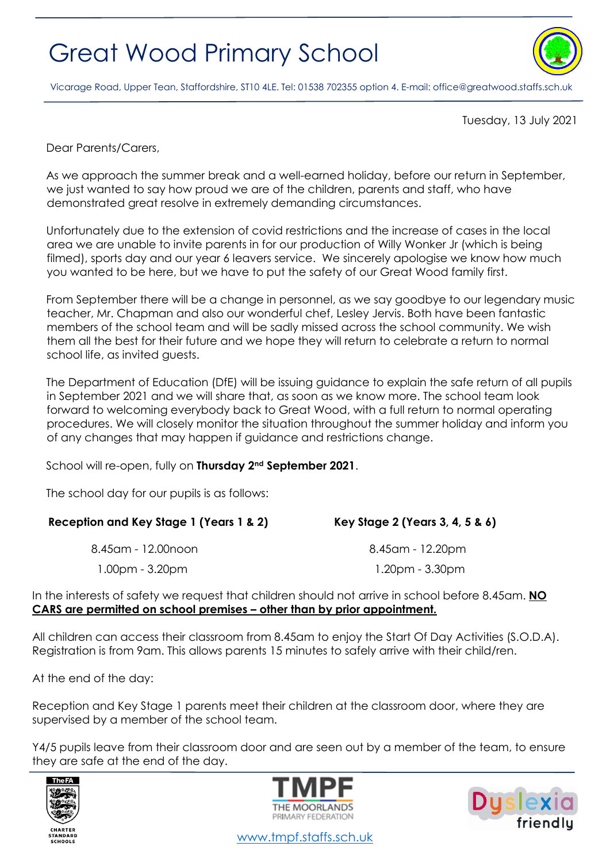## Great Wood Primary School



Vicarage Road, Upper Tean, Staffordshire, ST10 4LE. Tel: 01538 702355 option 4. E-mail[: office@greatwood.staffs.sch.uk](mailto:office@greatwood.staffs.sch.uk)

Tuesday, 13 July 2021

Dear Parents/Carers,

As we approach the summer break and a well-earned holiday, before our return in September, we just wanted to say how proud we are of the children, parents and staff, who have demonstrated great resolve in extremely demanding circumstances.

Unfortunately due to the extension of covid restrictions and the increase of cases in the local area we are unable to invite parents in for our production of Willy Wonker Jr (which is being filmed), sports day and our year 6 leavers service. We sincerely apologise we know how much you wanted to be here, but we have to put the safety of our Great Wood family first.

From September there will be a change in personnel, as we say goodbye to our legendary music teacher, Mr. Chapman and also our wonderful chef, Lesley Jervis. Both have been fantastic members of the school team and will be sadly missed across the school community. We wish them all the best for their future and we hope they will return to celebrate a return to normal school life, as invited guests.

The Department of Education (DfE) will be issuing guidance to explain the safe return of all pupils in September 2021 and we will share that, as soon as we know more. The school team look forward to welcoming everybody back to Great Wood, with a full return to normal operating procedures. We will closely monitor the situation throughout the summer holiday and inform you of any changes that may happen if guidance and restrictions change.

School will re-open, fully on **Thursday 2nd September 2021**.

The school day for our pupils is as follows:

| Key Stage 2 (Years 3, 4, 5 & 6) |
|---------------------------------|
| 8.45am - 12.20pm                |
| $1.20pm - 3.30pm$               |
|                                 |

In the interests of safety we request that children should not arrive in school before 8.45am. **NO CARS are permitted on school premises – other than by prior appointment.**

All children can access their classroom from 8.45am to enjoy the Start Of Day Activities (S.O.D.A). Registration is from 9am. This allows parents 15 minutes to safely arrive with their child/ren.

At the end of the day:

Reception and Key Stage 1 parents meet their children at the classroom door, where they are supervised by a member of the school team.

Y4/5 pupils leave from their classroom door and are seen out by a member of the team, to ensure they are safe at the end of the day.







[www.tmpf.staffs.sch.uk](http://www.tmpf.staffs.sch.uk/)